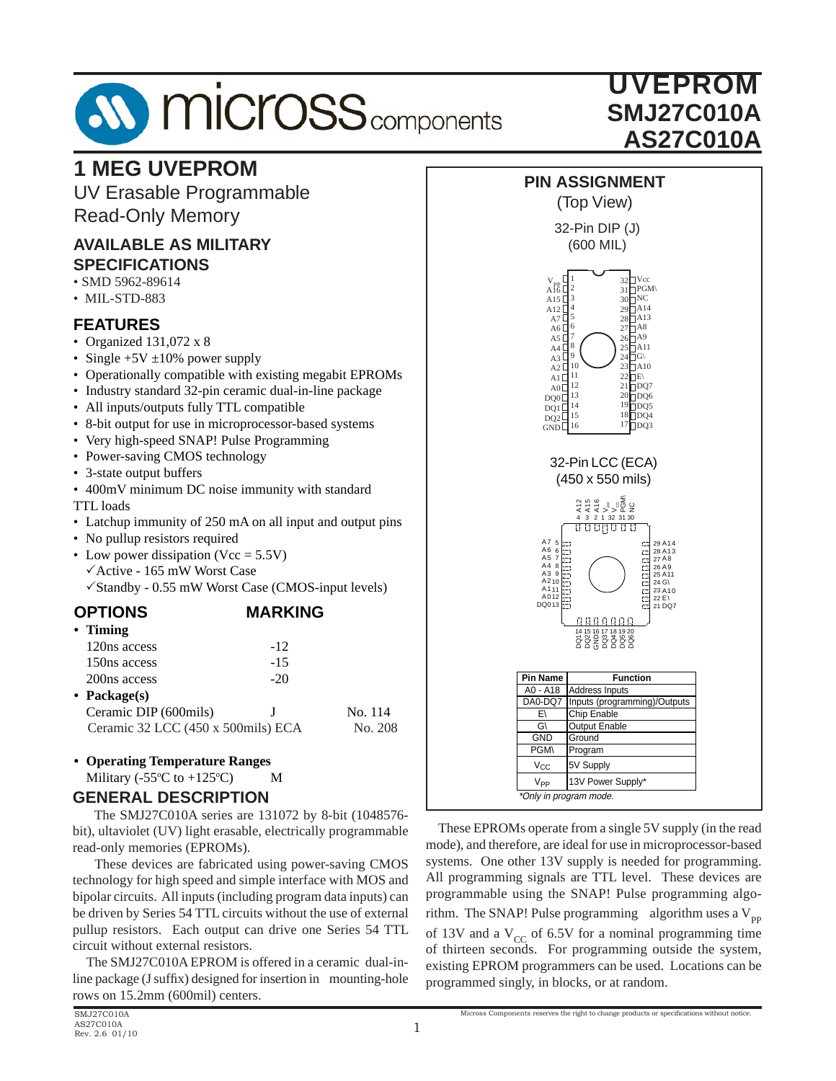# **AV MICrOSS** components

## UVEPROM **SMJ27C010A AS27C010A**

## **1 MEG UVEPROM**

UV Erasable Programmable Read-Only Memory

### **AVAILABLE AS MILITARY SPECIFICATIONS**

- SMD 5962-89614
- MIL-STD-883

## **FEATURES**

- Organized 131,072 x 8
- Single  $+5V \pm 10\%$  power supply
- Operationally compatible with existing megabit EPROMs
- Industry standard 32-pin ceramic dual-in-line package
- All inputs/outputs fully TTL compatible
- 8-bit output for use in microprocessor-based systems
- Very high-speed SNAP! Pulse Programming
- Power-saving CMOS technology
- 3-state output buffers
- 400mV minimum DC noise immunity with standard

TTL loads

- Latchup immunity of 250 mA on all input and output pins
- No pullup resistors required
- Low power dissipation (Vcc =  $5.5V$ )  $\checkmark$  Active - 165 mW Worst Case  $\sqrt{\text{Standby}} - 0.55$  mW Worst Case (CMOS-input levels)

## **OPTIONS MARKING**

| $\cdot$ Timing           |        |                                    |
|--------------------------|--------|------------------------------------|
| 120ns access             | $-12$  |                                    |
| 150ns access             | $-1.5$ |                                    |
| 200 <sub>ns</sub> access | $-20$  |                                    |
| • Package $(s)$          |        |                                    |
| Ceramic DIP (600mils)    |        | No. 114                            |
|                          |        | No. 208                            |
|                          |        | Ceramic 32 LCC (450 x 500mils) ECA |

## **• Operating Temperature Ranges**

Military ( $-55^{\circ}$ C to  $+125^{\circ}$ C) M

### **GENERAL DESCRIPTION**

 The SMJ27C010A series are 131072 by 8-bit (1048576 bit), ultaviolet (UV) light erasable, electrically programmable read-only memories (EPROMs).

 These devices are fabricated using power-saving CMOS technology for high speed and simple interface with MOS and bipolar circuits. All inputs (including program data inputs) can be driven by Series 54 TTL circuits without the use of external pullup resistors. Each output can drive one Series 54 TTL circuit without external resistors.

 The SMJ27C010A EPROM is offered in a ceramic dual-inline package  $(J \text{ suffix})$  designed for insertion in mounting-hole rows on 15.2mm (600mil) centers.



 These EPROMs operate from a single 5V supply (in the read mode), and therefore, are ideal for use in microprocessor-based systems. One other 13V supply is needed for programming. All programming signals are TTL level. These devices are programmable using the SNAP! Pulse programming algorithm. The SNAP! Pulse programming algorithm uses a  $V_{\text{pp}}$ of 13V and a  $V_{CC}$  of 6.5V for a nominal programming time of thirteen seconds. For programming outside the system, existing EPROM programmers can be used. Locations can be programmed singly, in blocks, or at random.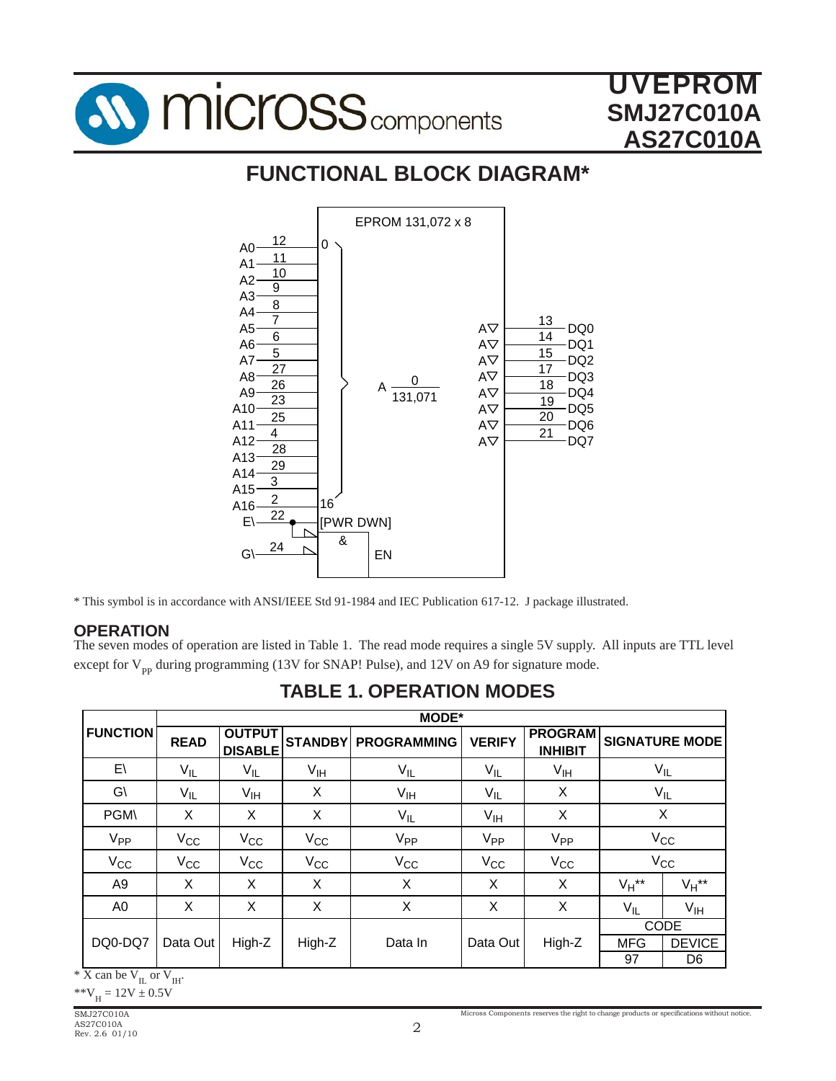

## **FUNCTIONAL BLOCK DIAGRAM\***



\* This symbol is in accordance with ANSI/IEEE Std 91-1984 and IEC Publication 617-12. J package illustrated.

## **OPERATION**

The seven modes of operation are listed in Table 1. The read mode requires a single 5V supply. All inputs are TTL level except for  $V_{pp}$  during programming (13V for SNAP! Pulse), and 12V on A9 for signature mode.

|                 |              | <b>MODE*</b>                    |                 |                            |                 |                                  |            |                       |  |
|-----------------|--------------|---------------------------------|-----------------|----------------------------|-----------------|----------------------------------|------------|-----------------------|--|
| <b>FUNCTION</b> | <b>READ</b>  | <b>OUTPUT</b><br><b>DISABLE</b> |                 | <b>STANDBY PROGRAMMING</b> | <b>VERIFY</b>   | <b>PROGRAM</b><br><b>INHIBIT</b> |            | <b>SIGNATURE MODE</b> |  |
| $E\setminus$    | $V_{IL}$     | $V_{IL}$                        | V <sub>IH</sub> | $V_{\mathsf{IL}}$          | V <sub>IL</sub> | $V_{IH}$                         |            | $\rm V_{\rm IL}$      |  |
| $G\setminus$    | $V_{IL}$     | V <sub>IH</sub>                 | Χ               | $V_{IH}$                   | $V_{IL}$        | X                                |            | $V_{IL}$              |  |
| <b>PGM\</b>     | X            | X                               | X               | $V_{IL}$                   | V <sub>IH</sub> | X                                |            | X                     |  |
| V <sub>PP</sub> | $V_{\rm CC}$ | $V_{\rm CC}$                    | $V_{CC}$        | V <sub>PP</sub>            | V <sub>PP</sub> | V <sub>PP</sub>                  | $V_{CC}$   |                       |  |
| $V_{CC}$        | $V_{CC}$     | $V_{\rm CC}$                    | $V_{CC}$        | $V_{CC}$                   | $V_{CC}$        | $V_{CC}$                         |            | $V_{CC}$              |  |
| A <sub>9</sub>  | X            | X                               | Χ               | Χ                          | X               | X                                | $V_H$ **   | $V_H$ **              |  |
| A0              | X            | X                               | Χ               | X                          | X               | X                                | $V_{IL}$   | V <sub>IH</sub>       |  |
|                 |              |                                 |                 |                            |                 |                                  |            | <b>CODE</b>           |  |
| DQ0-DQ7         | Data Out     | High-Z                          | High-Z          | Data In                    | Data Out        | High-Z                           | <b>MFG</b> | <b>DEVICE</b>         |  |
|                 |              |                                 |                 |                            |                 |                                  | 97         | D <sub>6</sub>        |  |

**TABLE 1. OPERATION MODES**

 $*$  X can be  $V_{IL}$  or  $V_{IH}$ .

\*\* $V_H = 12V \pm 0.5V$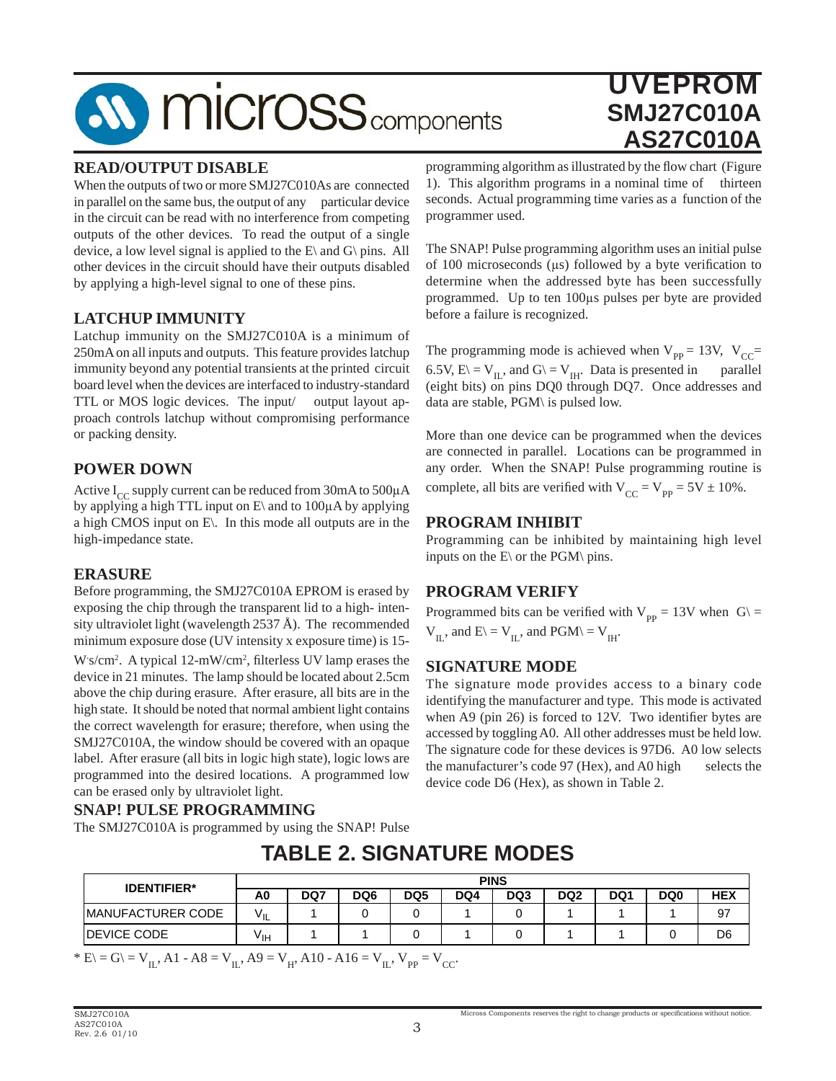## **SV MICroSS** components

## UVEPROM **SMJ27C010A AS27C010A**

#### **READ/OUTPUT DISABLE**

When the outputs of two or more SMJ27C010As are connected in parallel on the same bus, the output of any particular device in the circuit can be read with no interference from competing outputs of the other devices. To read the output of a single device, a low level signal is applied to the  $E\$  and  $G\$  pins. All other devices in the circuit should have their outputs disabled by applying a high-level signal to one of these pins.

### **LATCHUP IMMUNITY**

Latchup immunity on the SMJ27C010A is a minimum of 250mA on all inputs and outputs. This feature provides latchup immunity beyond any potential transients at the printed circuit board level when the devices are interfaced to industry-standard TTL or MOS logic devices. The input/ output layout approach controls latchup without compromising performance or packing density.

### **POWER DOWN**

Active  $I_{CC}$  supply current can be reduced from 30mA to 500 $\mu$ A by applying a high TTL input on  $E\$  and to 100 $\mu$ A by applying a high CMOS input on E\. In this mode all outputs are in the high-impedance state.

#### **ERASURE**

Before programming, the SMJ27C010A EPROM is erased by exposing the chip through the transparent lid to a high- intensity ultraviolet light (wavelength 2537 Å). The recommended minimum exposure dose (UV intensity x exposure time) is 15- W s/cm<sup>2</sup>. A typical 12-mW/cm<sup>2</sup>, filterless UV lamp erases the

device in 21 minutes. The lamp should be located about 2.5cm above the chip during erasure. After erasure, all bits are in the high state. It should be noted that normal ambient light contains the correct wavelength for erasure; therefore, when using the SMJ27C010A, the window should be covered with an opaque label. After erasure (all bits in logic high state), logic lows are programmed into the desired locations. A programmed low can be erased only by ultraviolet light.

#### **SNAP! PULSE PROGRAMMING**

The SMJ27C010A is programmed by using the SNAP! Pulse

**A0 DQ7 DQ6 DQ5 DQ4 DQ3 DQ2 DQ1 DQ0 HEX** MANUFACTURER CODE | V<sub>IL</sub> | 1 | 0 | 0 | 1 | 0 | 1 | 1 | 1 | 97 DEVICE CODE VIH 1 1 0 1 0 1 1 0 D6 **IDENTIFIER\*** A0 | DQ7 | DQ6 | DQ5 | DQ4 | DQ3

**TABLE 2. SIGNATURE MODES**

\* E\ = G\ = V<sub>IL</sub>, A1 - A8 = V<sub>IL</sub>, A9 = V<sub>H</sub>, A10 - A16 = V<sub>IL</sub>, V<sub>PP</sub> = V<sub>CC</sub>.

programming algorithm as illustrated by the flow chart (Figure 1). This algorithm programs in a nominal time of thirteen seconds. Actual programming time varies as a function of the programmer used.

The SNAP! Pulse programming algorithm uses an initial pulse of 100 microseconds ( $\mu$ s) followed by a byte verification to determine when the addressed byte has been successfully programmed. Up to ten 100μs pulses per byte are provided before a failure is recognized.

The programming mode is achieved when  $V_{pp} = 13V$ ,  $V_{CC} =$ 6.5V,  $E \subseteq V_{IL}$ , and  $G \subseteq V_{IH}$ . Data is presented in parallel (eight bits) on pins DQ0 through DQ7. Once addresses and data are stable, PGM\ is pulsed low.

More than one device can be programmed when the devices are connected in parallel. Locations can be programmed in any order. When the SNAP! Pulse programming routine is complete, all bits are verified with  $V_{CC} = V_{PP} = 5V \pm 10\%$ .

#### **PROGRAM INHIBIT**

Programming can be inhibited by maintaining high level inputs on the  $E\$  or the PGM\ pins.

#### **PROGRAM VERIFY**

Programmed bits can be verified with  $V_{pp} = 13V$  when  $G \equiv$  $V_{II}$ , and  $E \equiv V_{II}$ , and  $PGM \equiv V_{III}$ .

#### **SIGNATURE MODE**

The signature mode provides access to a binary code identifying the manufacturer and type. This mode is activated when  $A9$  (pin 26) is forced to 12V. Two identifier bytes are accessed by toggling A0. All other addresses must be held low. The signature code for these devices is 97D6. A0 low selects the manufacturer's code 97 (Hex), and A0 high selects the device code D6 (Hex), as shown in Table 2.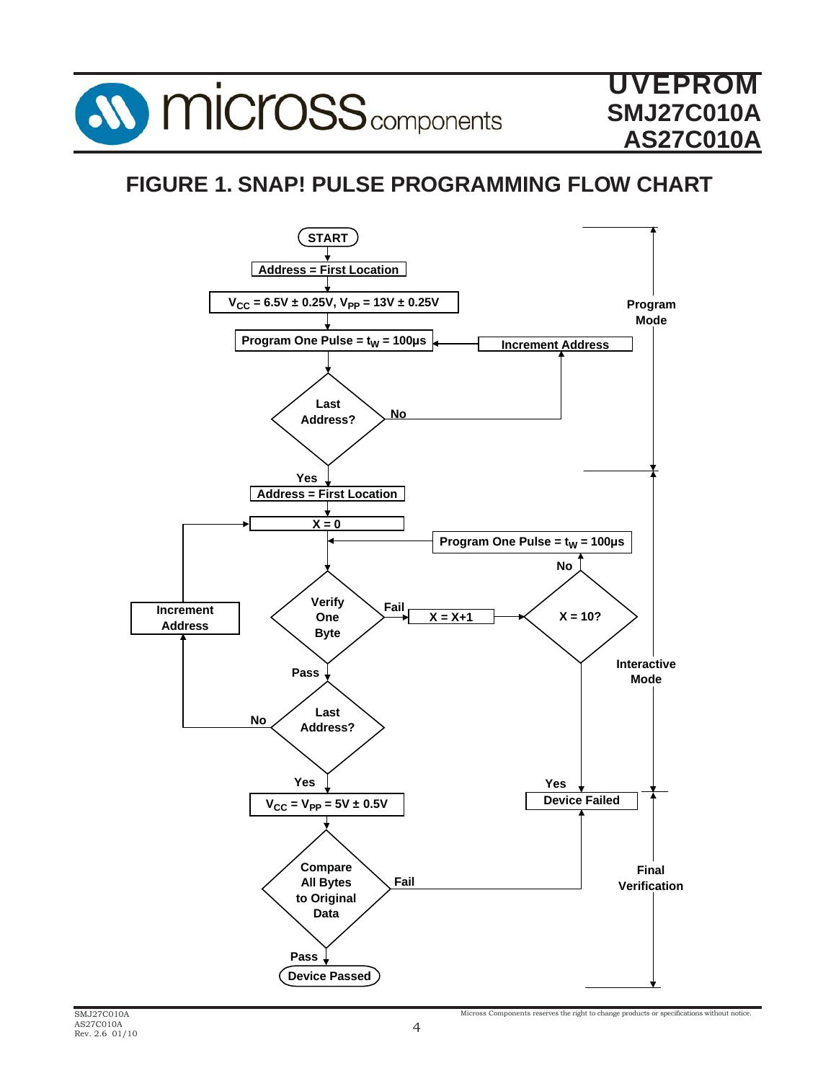

## **FIGURE 1. SNAP! PULSE PROGRAMMING FLOW CHART**

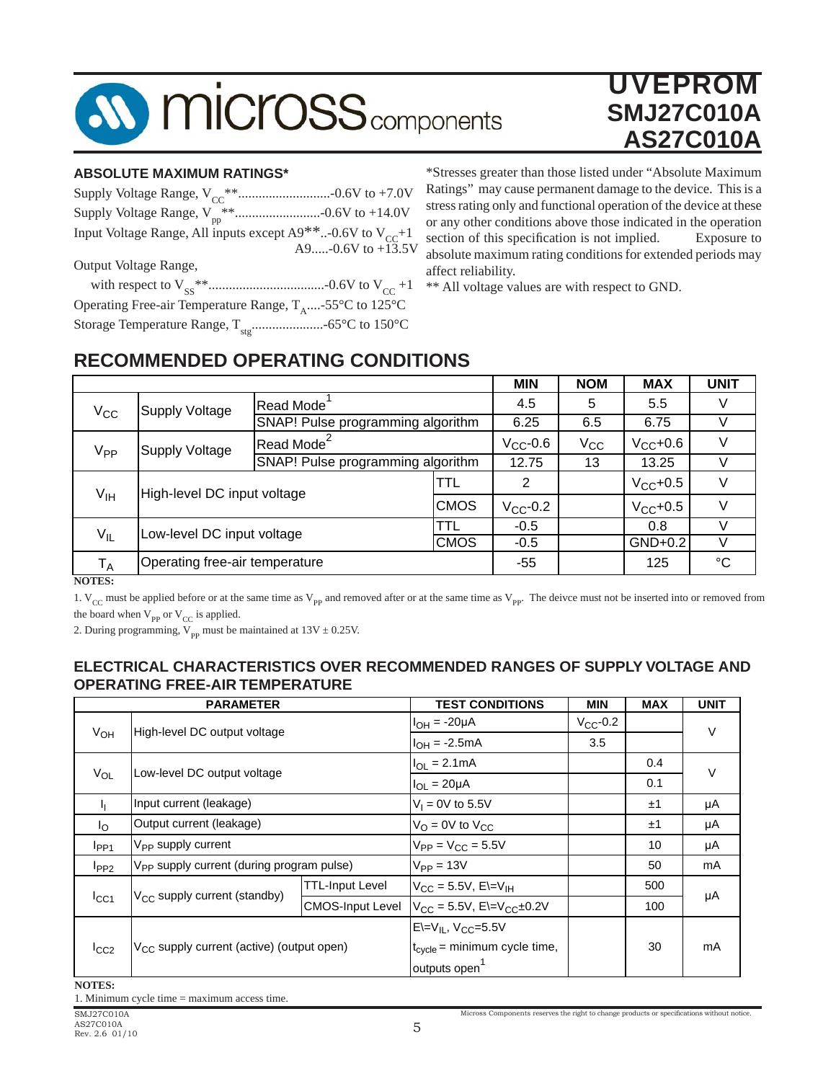

#### **ABSOLUTE MAXIMUM RATINGS\***

| Input Voltage Range, All inputs except $A9**-0.6V$ to $V_{CC}+1$<br>A9-0.6V to +13.5V |
|---------------------------------------------------------------------------------------|
|                                                                                       |
| Output Voltage Range,                                                                 |
|                                                                                       |
| Operating Free-air Temperature Range, $T_{A}$ -55°C to 125°C                          |
|                                                                                       |

\*Stresses greater than those listed under "Absolute Maximum Ratings" may cause permanent damage to the device. This is a stress rating only and functional operation of the device at these or any other conditions above those indicated in the operation section of this specification is not implied. Exposure to absolute maximum rating conditions for extended periods may affect reliability.

\*\* All voltage values are with respect to GND.

## **RECOMMENDED OPERATING CONDITIONS**

|                             |                                |                                   |                                   | <b>MIN</b>    | <b>NOM</b> | <b>MAX</b>    | <b>UNIT</b> |
|-----------------------------|--------------------------------|-----------------------------------|-----------------------------------|---------------|------------|---------------|-------------|
| $V_{\rm CC}$                | <b>Supply Voltage</b>          | <b>Read Mode</b>                  |                                   |               | 5          | 5.5           |             |
|                             |                                | SNAP! Pulse programming algorithm |                                   | 6.25          | 6.5        | 6.75          |             |
| V <sub>PP</sub>             | <b>Supply Voltage</b>          | Read Mode <sup>2</sup>            |                                   | $V_{CC}$ -0.6 | $V_{CC}$   | $V_{CC}$ +0.6 |             |
|                             |                                |                                   | SNAP! Pulse programming algorithm |               | 13         | 13.25         |             |
| High-level DC input voltage |                                |                                   | TTL                               | 2             |            | $V_{CC}$ +0.5 |             |
| $V_{\text{IH}}$             |                                | <b>CMOS</b>                       |                                   | $V_{CC}$ -0.2 |            | $V_{CC}$ +0.5 | V           |
| Low-level DC input voltage  |                                | TTL                               | $-0.5$                            |               | 0.8        |               |             |
| $V_{IL}$                    |                                | <b>CMOS</b>                       |                                   | $-0.5$        |            | GND+0.2       |             |
| $T_A$                       | Operating free-air temperature |                                   |                                   | $-55$         |            | 125           | °C          |

**NOTES:**

1.  $V_{CC}$  must be applied before or at the same time as  $V_{PP}$  and removed after or at the same time as  $V_{PP}$ . The deivce must not be inserted into or removed from the board when  $V_{\text{PP}}$  or  $V_{\text{CC}}$  is applied.

2. During programming,  $V_{pp}$  must be maintained at 13V  $\pm$  0.25V.

#### **ELECTRICAL CHARACTERISTICS OVER RECOMMENDED RANGES OF SUPPLY VOLTAGE AND OPERATING FREE-AIR TEMPERATURE**

| <b>PARAMETER</b>                                      |                                                                                                         | <b>TEST CONDITIONS</b>                                | <b>MIN</b>                             | <b>MAX</b> | <b>UNIT</b> |  |
|-------------------------------------------------------|---------------------------------------------------------------------------------------------------------|-------------------------------------------------------|----------------------------------------|------------|-------------|--|
| $V_{OH}$                                              |                                                                                                         | $I_{OH} = -20\mu A$                                   | $V_{CC}$ -0.2                          |            | $\vee$      |  |
|                                                       |                                                                                                         | $I_{OH} = -2.5mA$                                     | 3.5                                    |            |             |  |
|                                                       |                                                                                                         | $I_{OL} = 2.1mA$                                      |                                        | 0.4        | $\vee$      |  |
|                                                       |                                                                                                         | $I_{OL} = 20 \mu A$                                   |                                        | 0.1        |             |  |
| Input current (leakage)                               |                                                                                                         | $V_1 = 0V$ to 5.5V                                    |                                        | ±1         | μA          |  |
| Output current (leakage)                              |                                                                                                         | $V_{\text{O}} = 0$ V to $V_{\text{CC}}$               |                                        | ±1         | μA          |  |
| V <sub>PP</sub> supply current                        |                                                                                                         | $V_{PP} = V_{CC} = 5.5V$                              |                                        | 10         | μA          |  |
|                                                       |                                                                                                         | $V_{PP} = 13V$                                        |                                        | 50         | mA          |  |
|                                                       | <b>TTL-Input Level</b>                                                                                  | $V_{CC}$ = 5.5V, E\=V <sub>IH</sub>                   |                                        | 500        |             |  |
|                                                       | <b>CMOS-Input Level</b>                                                                                 |                                                       |                                        | 100        | μA          |  |
|                                                       |                                                                                                         | $E=V_{IL}$ , $V_{CC}=5.5V$                            |                                        |            |             |  |
| V <sub>CC</sub> supply current (active) (output open) |                                                                                                         | $t_{\text{cycle}}$ = minimum cycle time,              |                                        | 30         | mA          |  |
|                                                       |                                                                                                         | outputs open <sup>1</sup>                             |                                        |            |             |  |
|                                                       | High-level DC output voltage<br>Low-level DC output voltage<br>V <sub>CC</sub> supply current (standby) | V <sub>PP</sub> supply current (during program pulse) | $V_{CC} = 5.5V$ , E $=V_{CC} \pm 0.2V$ |            |             |  |

**NOTES:**

1. Minimum cycle time = maximum access time.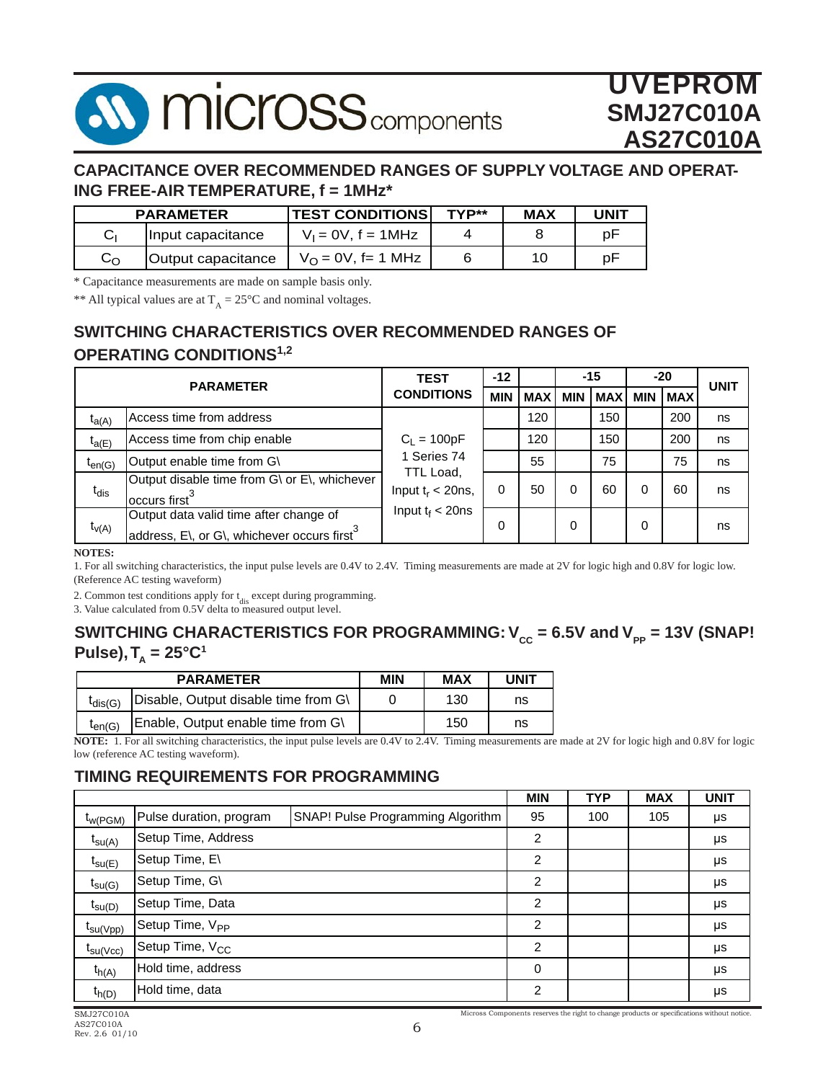## **MICrOSS** components

## UVEPROM **SMJ27C010A AS27C010A**

## **CAPACITANCE OVER RECOMMENDED RANGES OF SUPPLY VOLTAGE AND OPERAT-ING FREE-AIR TEMPERATURE, f = 1MHz\***

|              | <b>PARAMETER</b>   | <b>TEST CONDITIONS</b>       | TYP** | <b>MAX</b> | UNIT |
|--------------|--------------------|------------------------------|-------|------------|------|
|              | Input capacitance  | $V_1 = 0V$ , $f = 1MHz$      |       |            | p۲   |
| $C_{\Omega}$ | Output capacitance | $V_{\Omega} = 0V$ , f= 1 MHz |       | 10.        | рF   |

\* Capacitance measurements are made on sample basis only.

\*\* All typical values are at  $T_A = 25^{\circ}$ C and nominal voltages.

## **SWITCHING CHARACTERISTICS OVER RECOMMENDED RANGES OF OPERATING CONDITIONS1,2**

| <b>PARAMETER</b> |                                                                                                   | <b>TEST</b>                       | $-12$      |            | $-15$      |            | $-20$      |            | <b>UNIT</b> |
|------------------|---------------------------------------------------------------------------------------------------|-----------------------------------|------------|------------|------------|------------|------------|------------|-------------|
|                  |                                                                                                   | <b>CONDITIONS</b>                 | <b>MIN</b> | <b>MAX</b> | <b>MIN</b> | <b>MAX</b> | <b>MIN</b> | <b>MAX</b> |             |
| $t_{a(A)}$       | Access time from address                                                                          |                                   |            | 120        |            | 150        |            | 200        | ns          |
| $t_{a(E)}$       | Access time from chip enable                                                                      | $C_L = 100pF$                     |            | 120        |            | 150        |            | 200        | ns          |
| $t_{en(G)}$      | Output enable time from G\                                                                        | 1 Series 74                       |            | 55         |            | 75         |            | 75         | ns          |
| $t_{dis}$        | Output disable time from G\ or E\, whichever<br>occurs first <sup>3</sup>                         | TTL Load,<br>Input $t_r < 20$ ns, | 0          | 50         | 0          | 60         |            | 60         | ns          |
| $t_{V(A)}$       | Output data valid time after change of<br>address, E\, or G\, whichever occurs first <sup>3</sup> | Input $t_f < 20$ ns               | $\Omega$   |            | 0          |            | 0          |            | ns          |

**NOTES:**

1. For all switching characteristics, the input pulse levels are 0.4V to 2.4V. Timing measurements are made at 2V for logic high and 0.8V for logic low. (Reference AC testing waveform)

2. Common test conditions apply for  $t_{dis}$  except during programming.

3. Value calculated from 0.5V delta to measured output level.

### **SWITCHING CHARACTERISTICS FOR PROGRAMMING:**  $V_{cc}$  **= 6.5V and**  $V_{pp}$  **= 13V (SNAP!**  $Pulse$ ,  $T<sub>A</sub> = 25°C<sup>1</sup>$

| <b>PARAMETER</b> |                                      | MIN | <b>MAX</b> | UNIT |
|------------------|--------------------------------------|-----|------------|------|
| $t_{dis(G)}$     | Disable, Output disable time from G\ |     | 130        | ns   |
| $t_{en(G)}$      | Enable, Output enable time from G\   |     | 150        | ns   |

**NOTE:** 1. For all switching characteristics, the input pulse levels are 0.4V to 2.4V. Timing measurements are made at 2V for logic high and 0.8V for logic low (reference AC testing waveform).

## **TIMING REQUIREMENTS FOR PROGRAMMING**

|                      |                             |                                   | <b>MIN</b>     | <b>TYP</b> | <b>MAX</b> | <b>UNIT</b> |
|----------------------|-----------------------------|-----------------------------------|----------------|------------|------------|-------------|
| $t_{W(PGM)}$         | Pulse duration, program     | SNAP! Pulse Programming Algorithm | 95             | 100        | 105        | μs          |
| $t_{\text{SU(A)}}$   | Setup Time, Address         |                                   | 2              |            |            | μs          |
| $t_{\text{SU}(E)}$   | Setup Time, E\              |                                   | 2              |            |            | μs          |
| $t_{\text{su(G)}}$   | Setup Time, G\              |                                   | 2              |            |            | μs          |
| $t_{\text{su}(D)}$   | Setup Time, Data            |                                   | 2              |            |            | μs          |
| $t_{\text{su(Vpp)}}$ | Setup Time, V <sub>PP</sub> |                                   | 2              |            |            | μs          |
| $t_{\text{SU(VCC)}}$ | Setup Time, V <sub>CC</sub> |                                   | 2              |            |            | μs          |
| $t_{h(A)}$           | Hold time, address          |                                   | 0              |            |            | μs          |
| $t_{h(D)}$           | Hold time, data             |                                   | $\overline{2}$ |            |            | μs          |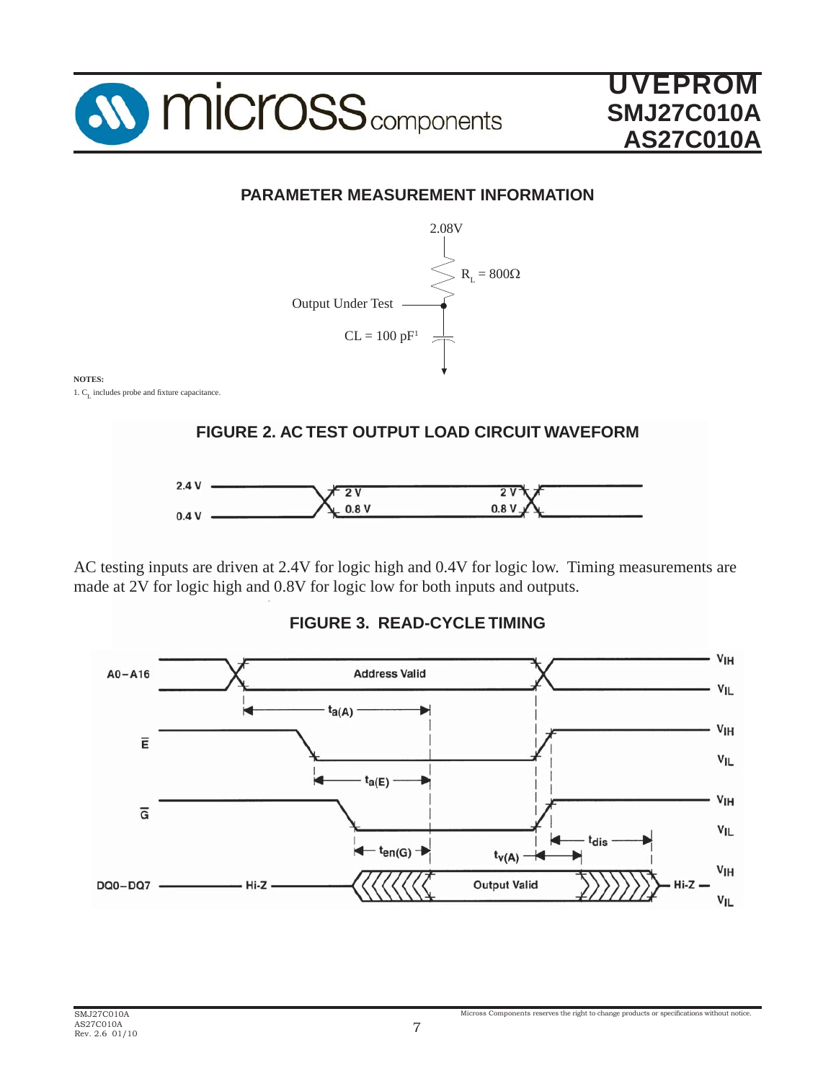

## **PARAMETER MEASUREMENT INFORMATION**



### **NOTES:**

1.  $C_{I}$  includes probe and fixture capacitance.



AC testing inputs are driven at 2.4V for logic high and 0.4V for logic low. Timing measurements are made at 2V for logic high and 0.8V for logic low for both inputs and outputs.



**FIGURE 3. READ-CYCLE TIMING**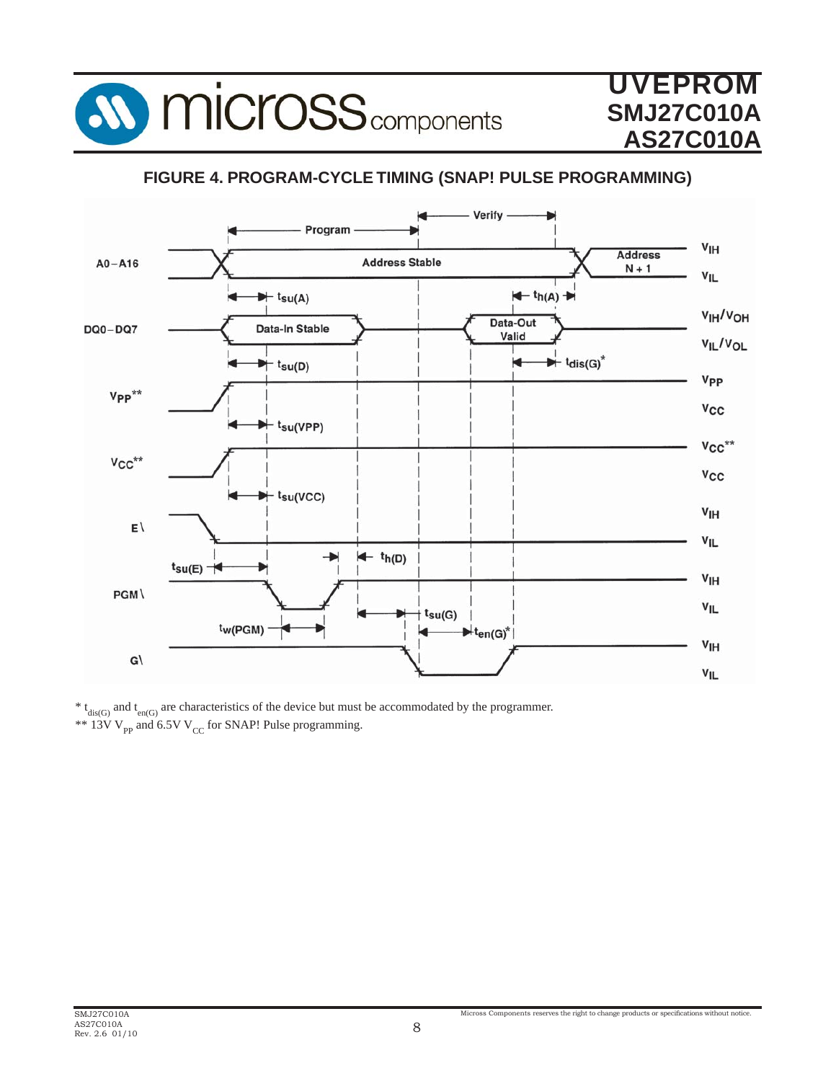

## **FIGURE 4. PROGRAM-CYCLE TIMING (SNAP! PULSE PROGRAMMING)**



 $* t_{dis(G)}$  and  $t_{en(G)}$  are characteristics of the device but must be accommodated by the programmer. \*\* 13V  $V_{\text{pp}}$  and 6.5V  $V_{\text{CC}}$  for SNAP! Pulse programming.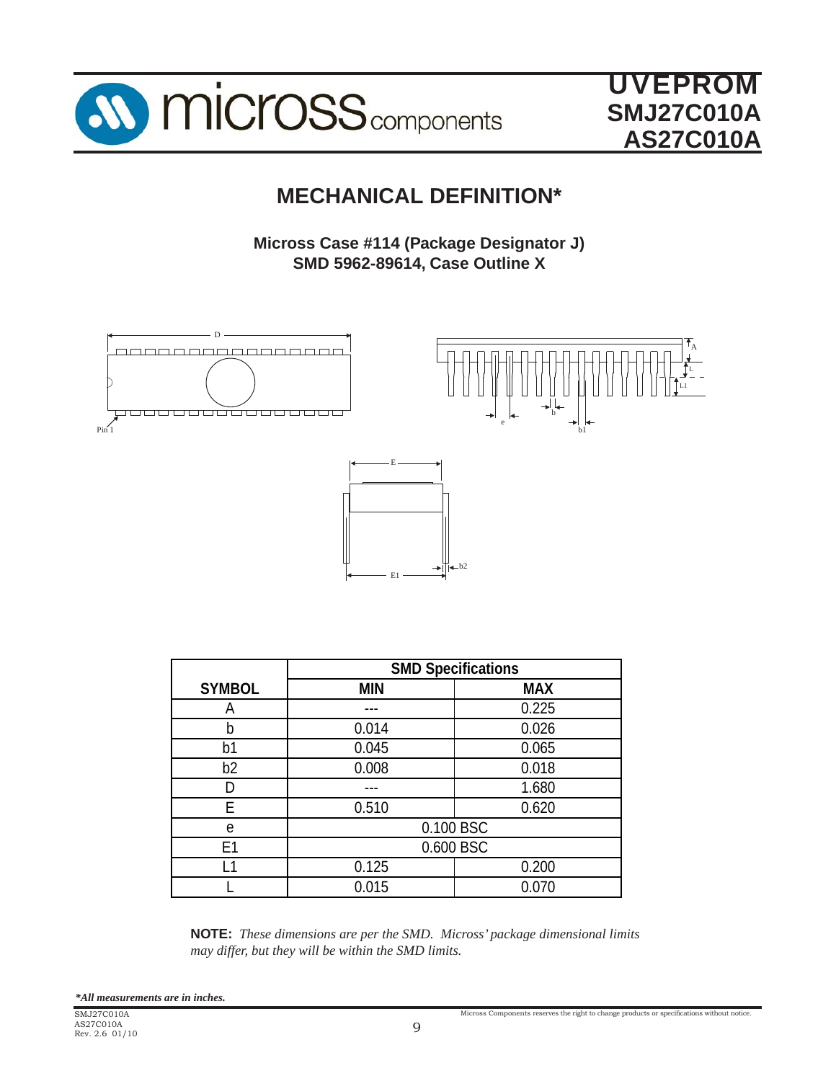

> L L1

A

## **MECHANICAL DEFINITION\***

**Micross Case #114 (Package Designator J) SMD 5962-89614, Case Outline X**

e

 $-b2$ 

b

b1





|                | . Г        |            |  |  |
|----------------|------------|------------|--|--|
| <b>SYMBOL</b>  | <b>MIN</b> | <b>MAX</b> |  |  |
| Α              |            | 0.225      |  |  |
| b              | 0.014      | 0.026      |  |  |
| b1             | 0.045      | 0.065      |  |  |
| b <sub>2</sub> | 0.008      | 0.018      |  |  |
| D              |            | 1.680      |  |  |
| F              | 0.510      | 0.620      |  |  |
| e              |            | 0.100 BSC  |  |  |
| E <sub>1</sub> | 0.600 BSC  |            |  |  |
| l 1            | 0.125      | 0.200      |  |  |
|                | 0.015      | 0.070      |  |  |
|                |            |            |  |  |

**NOTE:** *These dimensions are per the SMD. Micross' package dimensional limits may differ, but they will be within the SMD limits.*

*\*All measurements are in inches.*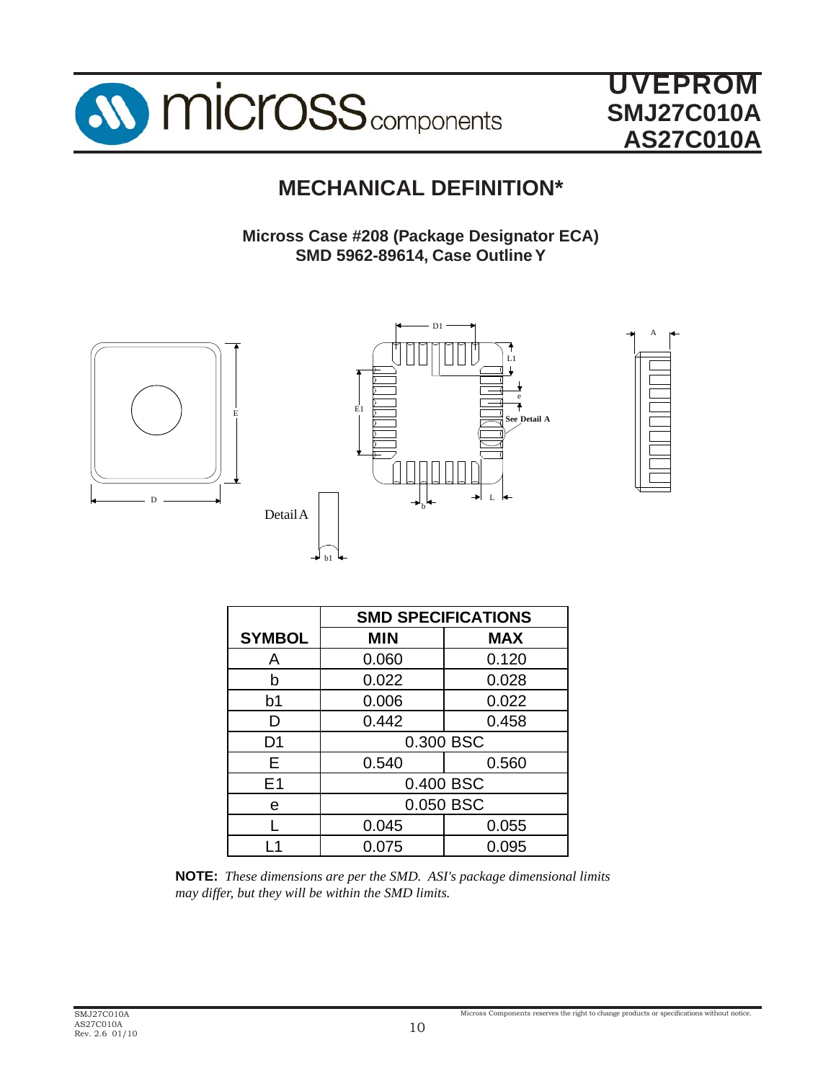

## **MECHANICAL DEFINITION\***

**Micross Case #208 (Package Designator ECA) SMD 5962-89614, Case Outline Y**







|                | <b>SMD SPECIFICATIONS</b> |            |  |  |  |
|----------------|---------------------------|------------|--|--|--|
| <b>SYMBOL</b>  | <b>MIN</b>                | <b>MAX</b> |  |  |  |
| A              | 0.060                     | 0.120      |  |  |  |
| h              | 0.022                     | 0.028      |  |  |  |
| b1             | 0.006                     | 0.022      |  |  |  |
| D              | 0.442                     | 0.458      |  |  |  |
| D <sub>1</sub> |                           | 0.300 BSC  |  |  |  |
| F              | 0.540                     | 0.560      |  |  |  |
| E1             |                           | 0.400 BSC  |  |  |  |
| e              | 0.050 BSC                 |            |  |  |  |
|                | 0.045                     | 0.055      |  |  |  |
|                | 0.075                     | 0.095      |  |  |  |

**NOTE:** *These dimensions are per the SMD. ASI's package dimensional limits may differ, but they will be within the SMD limits.*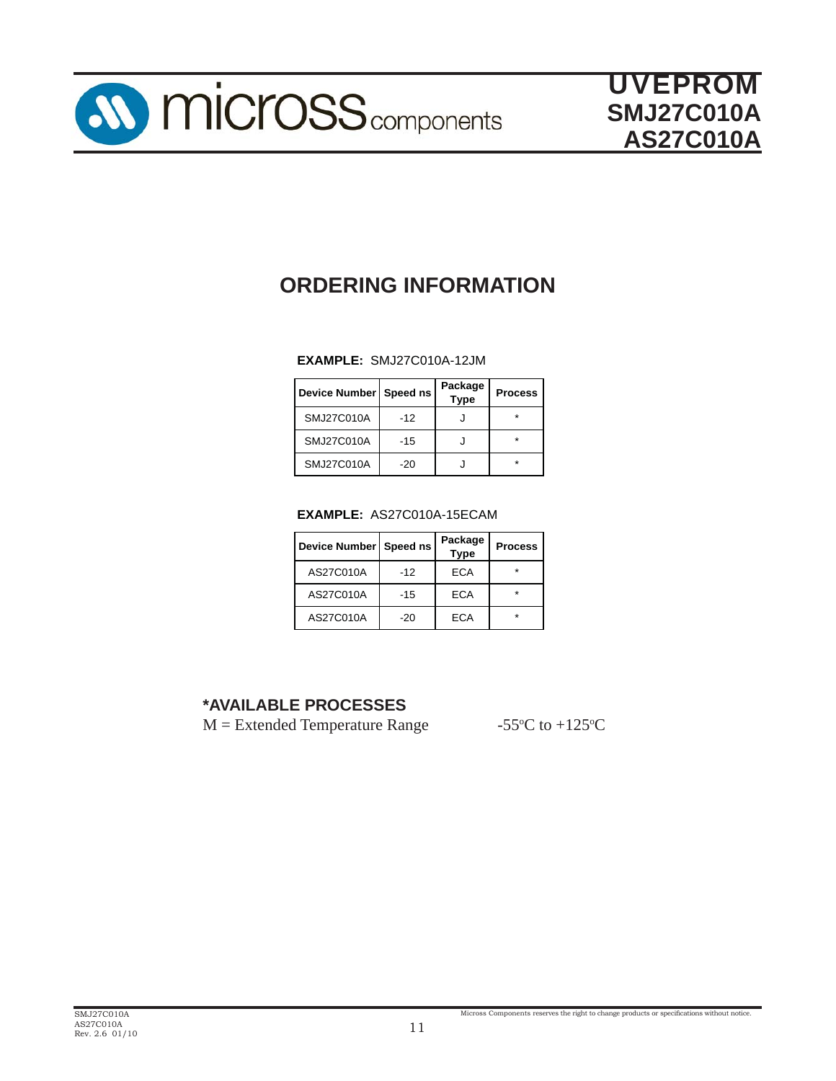

## **ORDERING INFORMATION**

#### **EXAMPLE:** SMJ27C010A-12JM

| Device Number   Speed ns |       | Package<br><b>Type</b> | <b>Process</b> |
|--------------------------|-------|------------------------|----------------|
| SMJ27C010A               | $-12$ |                        |                |
| SMJ27C010A               | $-15$ |                        |                |
| SMJ27C010A               | -20   |                        |                |

#### **EXAMPLE:** AS27C010A-15ECAM

| Device Number Speed ns |       | Package<br><b>Type</b> | <b>Process</b> |
|------------------------|-------|------------------------|----------------|
| AS27C010A              | $-12$ | ECA                    | $\star$        |
| AS27C010A              | $-15$ | ECA                    | $\star$        |
| AS27C010A              | -20   | ECA                    | $\star$        |

## **\*AVAILABLE PROCESSES**

 $M =$  Extended Temperature Range

C to  $+125$ <sup>o</sup>C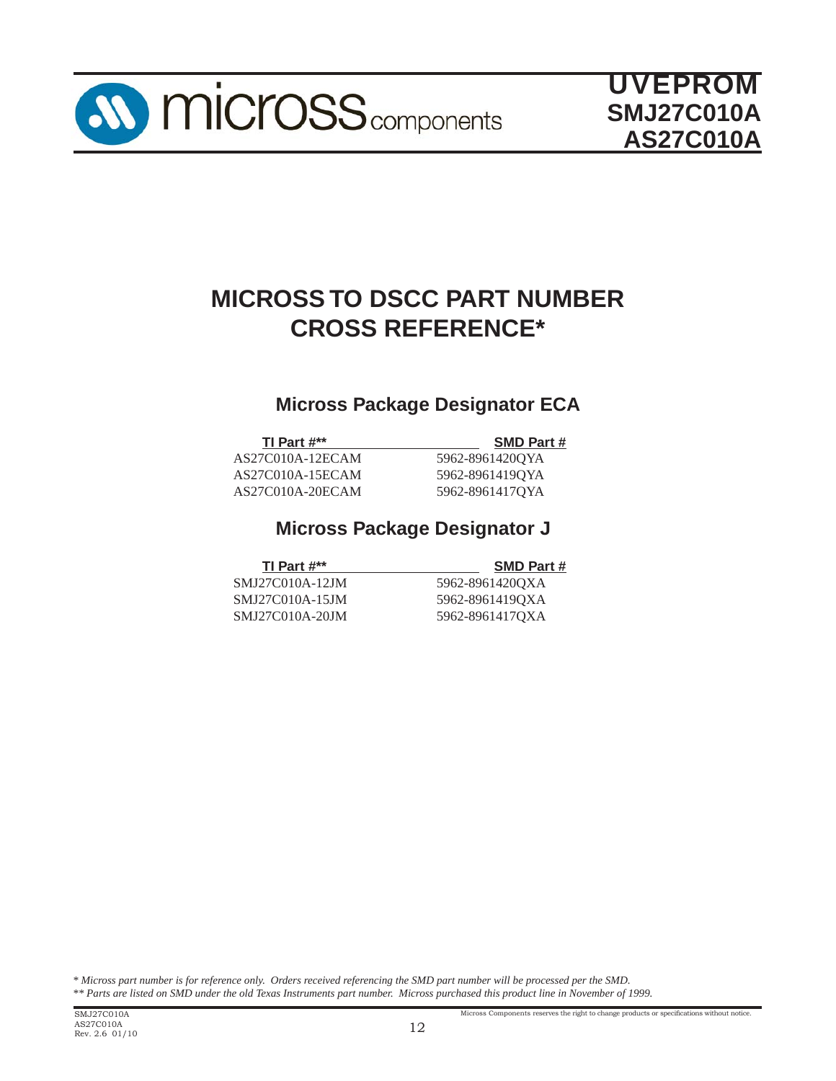

## **MICROSS TO DSCC PART NUMBER CROSS REFERENCE\***

## **Micross Package Designator ECA**

AS27C010A-12ECAM 5962-8961420QYA AS27C010A-15ECAM 5962-8961419QYA AS27C010A-20ECAM 5962-8961417QYA

## **Micross Package Designator J**

**TI Part #\*\*** SMD Part #

**SMD Part #** 

| SMJ27C010A-12JM |  |
|-----------------|--|
| SMJ27C010A-15JM |  |
| SMJ27C010A-20JM |  |

5962-8961420QXA 5962-8961419QXA 5962-8961417QXA

*\* Micross part number is for reference only. Orders received referencing the SMD part number will be processed per the SMD. \*\* Parts are listed on SMD under the old Texas Instruments part number. Micross purchased this product line in November of 1999.*